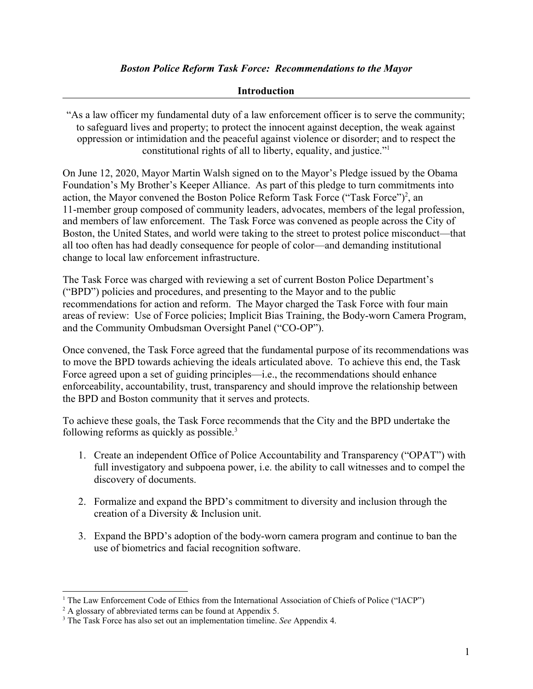#### *Boston Police Reform Task Force: Recommendations to the Mayor*

#### **Introduction**

"As a law officer my fundamental duty of a law enforcement officer is to serve the community; to safeguard lives and property; to protect the innocent against deception, the weak against oppression or intimidation and the peaceful against violence or disorder; and to respect the constitutional rights of all to liberty, equality, and justice."<sup>1</sup>

On June 12, 2020, Mayor Martin Walsh signed on to the Mayor's Pledge issued by the Obama Foundation's My Brother's Keeper Alliance. As part of this pledge to turn commitments into action, the Mayor convened the Boston Police Reform Task Force ("Task Force")<sup>2</sup>, an 11-member group composed of community leaders, advocates, members of the legal profession, and members of law enforcement. The Task Force was convened as people across the City of Boston, the United States, and world were taking to the street to protest police misconduct—that all too often has had deadly consequence for people of color—and demanding institutional change to local law enforcement infrastructure.

The Task Force was charged with reviewing a set of current Boston Police Department's ("BPD") policies and procedures, and presenting to the Mayor and to the public recommendations for action and reform. The Mayor charged the Task Force with four main areas of review: Use of Force policies; Implicit Bias Training, the Body-worn Camera Program, and the Community Ombudsman Oversight Panel ("CO-OP").

Once convened, the Task Force agreed that the fundamental purpose of its recommendations was to move the BPD towards achieving the ideals articulated above. To achieve this end, the Task Force agreed upon a set of guiding principles—i.e., the recommendations should enhance enforceability, accountability, trust, transparency and should improve the relationship between the BPD and Boston community that it serves and protects.

To achieve these goals, the Task Force recommends that the City and the BPD undertake the following reforms as quickly as possible.<sup>3</sup>

- 1. Create an independent Office of Police Accountability and Transparency ("OPAT") with full investigatory and subpoena power, i.e. the ability to call witnesses and to compel the discovery of documents.
- 2. Formalize and expand the BPD's commitment to diversity and inclusion through the creation of a Diversity & Inclusion unit.
- 3. Expand the BPD's adoption of the body-worn camera program and continue to ban the use of biometrics and facial recognition software.

<sup>&</sup>lt;sup>1</sup> The Law Enforcement Code of Ethics from the International Association of Chiefs of Police ("IACP")

<sup>&</sup>lt;sup>2</sup> A glossary of abbreviated terms can be found at Appendix 5.

<sup>3</sup> The Task Force has also set out an implementation timeline. *See* Appendix 4.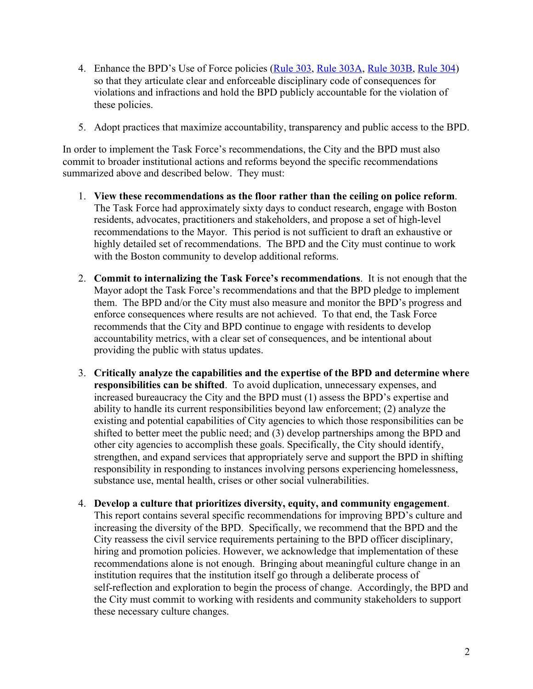- 4. Enhance the BPD's Use of Force policies [\(Rule 303,](https://static1.squarespace.com/static/5086f19ce4b0ad16ff15598d/t/5ee3b7aaf295e942280034c4/1591982011297/SO20-27.pdf) [Rule 303A](https://static1.squarespace.com/static/5086f19ce4b0ad16ff15598d/t/5ee3b7e1259ae0193692f7fe/1591982049493/SO20-28.pdf), [Rule 303B,](https://static1.squarespace.com/static/5086f19ce4b0ad16ff15598d/t/5ee3b7e1259ae0193692f7fe/1591982049493/SO20-28.pdf) [Rule 304\)](https://static1.squarespace.com/static/5086f19ce4b0ad16ff15598d/t/5ee3b80bbff1a702446f6393/1591982092629/SO20-30.pdf) so that they articulate clear and enforceable disciplinary code of consequences for violations and infractions and hold the BPD publicly accountable for the violation of these policies.
- 5. Adopt practices that maximize accountability, transparency and public access to the BPD.

In order to implement the Task Force's recommendations, the City and the BPD must also commit to broader institutional actions and reforms beyond the specific recommendations summarized above and described below. They must:

- 1. **View these recommendations as the floor rather than the ceiling on police reform**. The Task Force had approximately sixty days to conduct research, engage with Boston residents, advocates, practitioners and stakeholders, and propose a set of high-level recommendations to the Mayor. This period is not sufficient to draft an exhaustive or highly detailed set of recommendations. The BPD and the City must continue to work with the Boston community to develop additional reforms.
- 2. **Commit to internalizing the Task Force's recommendations**. It is not enough that the Mayor adopt the Task Force's recommendations and that the BPD pledge to implement them. The BPD and/or the City must also measure and monitor the BPD's progress and enforce consequences where results are not achieved. To that end, the Task Force recommends that the City and BPD continue to engage with residents to develop accountability metrics, with a clear set of consequences, and be intentional about providing the public with status updates.
- 3. **Critically analyze the capabilities and the expertise of the BPD and determine where responsibilities can be shifted**. To avoid duplication, unnecessary expenses, and increased bureaucracy the City and the BPD must (1) assess the BPD's expertise and ability to handle its current responsibilities beyond law enforcement; (2) analyze the existing and potential capabilities of City agencies to which those responsibilities can be shifted to better meet the public need; and (3) develop partnerships among the BPD and other city agencies to accomplish these goals. Specifically, the City should identify, strengthen, and expand services that appropriately serve and support the BPD in shifting responsibility in responding to instances involving persons experiencing homelessness, substance use, mental health, crises or other social vulnerabilities.
- 4. **Develop a culture that prioritizes diversity, equity, and community engagement**. This report contains several specific recommendations for improving BPD's culture and increasing the diversity of the BPD. Specifically, we recommend that the BPD and the City reassess the civil service requirements pertaining to the BPD officer disciplinary, hiring and promotion policies. However, we acknowledge that implementation of these recommendations alone is not enough. Bringing about meaningful culture change in an institution requires that the institution itself go through a deliberate process of self-reflection and exploration to begin the process of change. Accordingly, the BPD and the City must commit to working with residents and community stakeholders to support these necessary culture changes.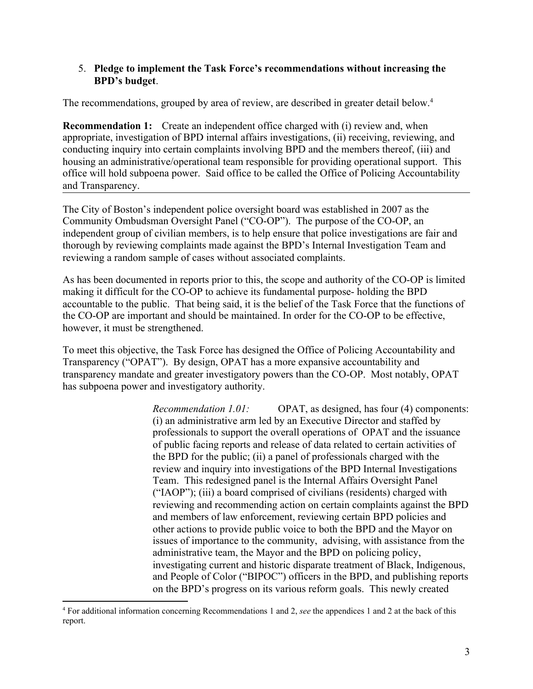#### 5. **Pledge to implement the Task Force's recommendations without increasing the BPD's budget**.

The recommendations, grouped by area of review, are described in greater detail below.<sup>4</sup>

**Recommendation 1:** Create an independent office charged with (i) review and, when appropriate, investigation of BPD internal affairs investigations, (ii) receiving, reviewing, and conducting inquiry into certain complaints involving BPD and the members thereof, (iii) and housing an administrative/operational team responsible for providing operational support. This office will hold subpoena power. Said office to be called the Office of Policing Accountability and Transparency.

The City of Boston's independent police oversight board was established in 2007 as the Community Ombudsman Oversight Panel ("CO-OP"). The purpose of the CO-OP, an independent group of civilian members, is to help ensure that police investigations are fair and thorough by reviewing complaints made against the BPD's Internal Investigation Team and reviewing a random sample of cases without associated complaints.

As has been documented in reports prior to this, the scope and authority of the CO-OP is limited making it difficult for the CO-OP to achieve its fundamental purpose- holding the BPD accountable to the public. That being said, it is the belief of the Task Force that the functions of the CO-OP are important and should be maintained. In order for the CO-OP to be effective, however, it must be strengthened.

To meet this objective, the Task Force has designed the Office of Policing Accountability and Transparency ("OPAT"). By design, OPAT has a more expansive accountability and transparency mandate and greater investigatory powers than the CO-OP. Most notably, OPAT has subpoena power and investigatory authority.

> *Recommendation 1.01:* OPAT, as designed, has four (4) components: (i) an administrative arm led by an Executive Director and staffed by professionals to support the overall operations of OPAT and the issuance of public facing reports and release of data related to certain activities of the BPD for the public; (ii) a panel of professionals charged with the review and inquiry into investigations of the BPD Internal Investigations Team. This redesigned panel is the Internal Affairs Oversight Panel ("IAOP"); (iii) a board comprised of civilians (residents) charged with reviewing and recommending action on certain complaints against the BPD and members of law enforcement, reviewing certain BPD policies and other actions to provide public voice to both the BPD and the Mayor on issues of importance to the community, advising, with assistance from the administrative team, the Mayor and the BPD on policing policy, investigating current and historic disparate treatment of Black, Indigenous, and People of Color ("BIPOC") officers in the BPD, and publishing reports on the BPD's progress on its various reform goals. This newly created

<sup>4</sup> For additional information concerning Recommendations 1 and 2, *see* the appendices 1 and 2 at the back of this report.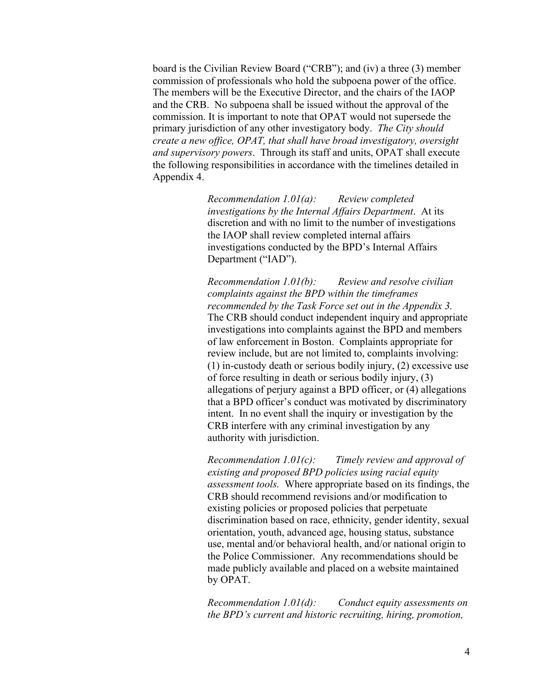board is the Civilian Review Board ("CRB"); and (iv) a three (3) member commission of professionals who hold the subpoena power of the office. The members will be the Executive Director, and the chairs of the IAOP and the CRB. No subpoena shall be issued without the approval of the commission. It is important to note that OPAT would not supersede the primary jurisdiction of any other investigatory body. *The City should create a new office, OPAT, that shall have broad investigatory, oversight and supervisory powers*. Through its staff and units, OPAT shall execute the following responsibilities in accordance with the timelines detailed in Appendix 4.

> *Recommendation 1.01(a): Review completed investigations by the Internal Affairs Department*. At its discretion and with no limit to the number of investigations the IAOP shall review completed internal affairs investigations conducted by the BPD's Internal Affairs Department ("IAD").

*Recommendation 1.01(b): Review and resolve civilian complaints against the BPD within the timeframes recommended by the Task Force set out in the Appendix 3.* The CRB should conduct independent inquiry and appropriate investigations into complaints against the BPD and members of law enforcement in Boston. Complaints appropriate for review include, but are not limited to, complaints involving: (1) in-custody death or serious bodily injury, (2) excessive use of force resulting in death or serious bodily injury, (3) allegations of perjury against a BPD officer, or (4) allegations that a BPD officer's conduct was motivated by discriminatory intent. In no event shall the inquiry or investigation by the CRB interfere with any criminal investigation by any authority with jurisdiction.

*Recommendation 1.01(c): Timely review and approval of existing and proposed BPD policies using racial equity assessment tools.* Where appropriate based on its findings, the CRB should recommend revisions and/or modification to existing policies or proposed policies that perpetuate discrimination based on race, ethnicity, gender identity, sexual orientation, youth, advanced age, housing status, substance use, mental and/or behavioral health, and/or national origin to the Police Commissioner. Any recommendations should be made publicly available and placed on a website maintained by OPAT.

*Recommendation 1.01(d): Conduct equity assessments on the BPD's current and historic recruiting, hiring, promotion,*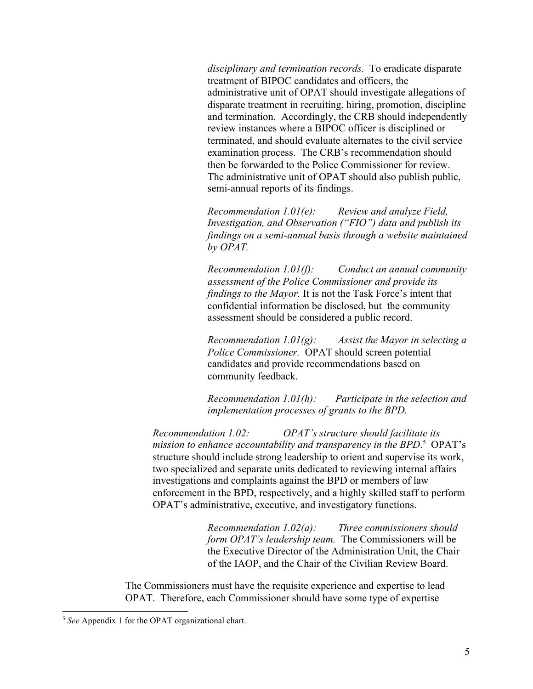*disciplinary and termination records.* To eradicate disparate treatment of BIPOC candidates and officers, the administrative unit of OPAT should investigate allegations of disparate treatment in recruiting, hiring, promotion, discipline and termination. Accordingly, the CRB should independently review instances where a BIPOC officer is disciplined or terminated, and should evaluate alternates to the civil service examination process. The CRB's recommendation should then be forwarded to the Police Commissioner for review. The administrative unit of OPAT should also publish public, semi-annual reports of its findings.

*Recommendation 1.01(e): Review and analyze Field, Investigation, and Observation ("FIO") data and publish its findings on a semi-annual basis through a website maintained by OPAT.*

*Recommendation 1.01(f): Conduct an annual community assessment of the Police Commissioner and provide its findings to the Mayor.* It is not the Task Force's intent that confidential information be disclosed, but the community assessment should be considered a public record.

*Recommendation 1.01(g): Assist the Mayor in selecting a Police Commissioner.* OPAT should screen potential candidates and provide recommendations based on community feedback.

*Recommendation 1.01(h): Participate in the selection and implementation processes of grants to the BPD.*

*Recommendation 1.02: OPAT's structure should facilitate its mission to enhance accountability and transparency in the BPD*. 5 OPAT's structure should include strong leadership to orient and supervise its work, two specialized and separate units dedicated to reviewing internal affairs investigations and complaints against the BPD or members of law enforcement in the BPD, respectively, and a highly skilled staff to perform OPAT's administrative, executive, and investigatory functions.

> *Recommendation 1.02(a): Three commissioners should form OPAT's leadership team.* The Commissioners will be the Executive Director of the Administration Unit, the Chair of the IAOP, and the Chair of the Civilian Review Board.

The Commissioners must have the requisite experience and expertise to lead OPAT. Therefore, each Commissioner should have some type of expertise

<sup>5</sup> *See* Appendix 1 for the OPAT organizational chart.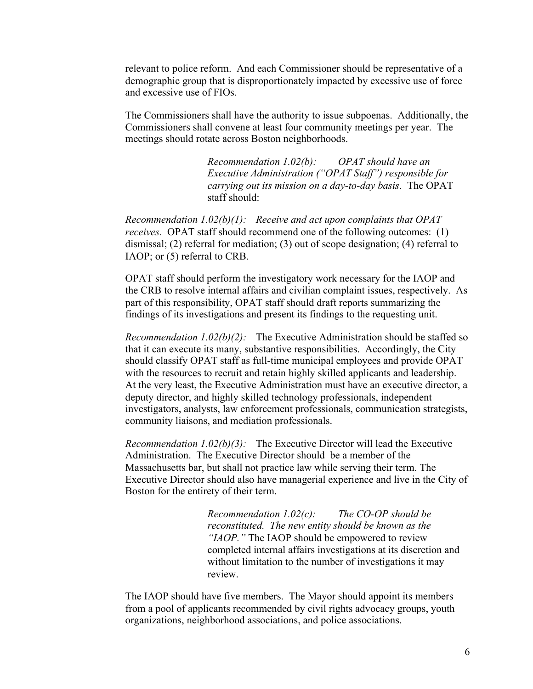relevant to police reform. And each Commissioner should be representative of a demographic group that is disproportionately impacted by excessive use of force and excessive use of FIOs.

The Commissioners shall have the authority to issue subpoenas. Additionally, the Commissioners shall convene at least four community meetings per year. The meetings should rotate across Boston neighborhoods.

> *Recommendation 1.02(b): OPAT should have an Executive Administration ("OPAT Staff") responsible for carrying out its mission on a day-to-day basis*. The OPAT staff should:

*Recommendation 1.02(b)(1): Receive and act upon complaints that OPAT receives.* OPAT staff should recommend one of the following outcomes: (1) dismissal; (2) referral for mediation; (3) out of scope designation; (4) referral to IAOP; or (5) referral to CRB.

OPAT staff should perform the investigatory work necessary for the IAOP and the CRB to resolve internal affairs and civilian complaint issues, respectively. As part of this responsibility, OPAT staff should draft reports summarizing the findings of its investigations and present its findings to the requesting unit.

*Recommendation 1.02(b)(2):* The Executive Administration should be staffed so that it can execute its many, substantive responsibilities. Accordingly, the City should classify OPAT staff as full-time municipal employees and provide OPAT with the resources to recruit and retain highly skilled applicants and leadership. At the very least, the Executive Administration must have an executive director, a deputy director, and highly skilled technology professionals, independent investigators, analysts, law enforcement professionals, communication strategists, community liaisons, and mediation professionals.

*Recommendation 1.02(b)(3):* The Executive Director will lead the Executive Administration. The Executive Director should be a member of the Massachusetts bar, but shall not practice law while serving their term. The Executive Director should also have managerial experience and live in the City of Boston for the entirety of their term.

> *Recommendation 1.02(c): The CO-OP should be reconstituted. The new entity should be known as the "IAOP."* The IAOP should be empowered to review completed internal affairs investigations at its discretion and without limitation to the number of investigations it may review.

The IAOP should have five members. The Mayor should appoint its members from a pool of applicants recommended by civil rights advocacy groups, youth organizations, neighborhood associations, and police associations.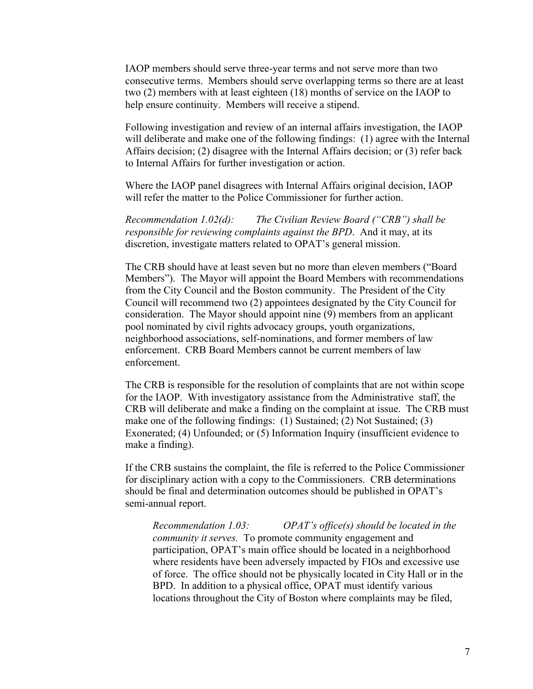IAOP members should serve three-year terms and not serve more than two consecutive terms. Members should serve overlapping terms so there are at least two (2) members with at least eighteen (18) months of service on the IAOP to help ensure continuity. Members will receive a stipend.

Following investigation and review of an internal affairs investigation, the IAOP will deliberate and make one of the following findings: (1) agree with the Internal Affairs decision; (2) disagree with the Internal Affairs decision; or (3) refer back to Internal Affairs for further investigation or action.

Where the IAOP panel disagrees with Internal Affairs original decision, IAOP will refer the matter to the Police Commissioner for further action.

*Recommendation 1.02(d): The Civilian Review Board ("CRB") shall be responsible for reviewing complaints against the BPD*. And it may, at its discretion, investigate matters related to OPAT's general mission.

The CRB should have at least seven but no more than eleven members ("Board Members"). The Mayor will appoint the Board Members with recommendations from the City Council and the Boston community. The President of the City Council will recommend two (2) appointees designated by the City Council for consideration. The Mayor should appoint nine (9) members from an applicant pool nominated by civil rights advocacy groups, youth organizations, neighborhood associations, self-nominations, and former members of law enforcement. CRB Board Members cannot be current members of law enforcement.

The CRB is responsible for the resolution of complaints that are not within scope for the IAOP. With investigatory assistance from the Administrative staff, the CRB will deliberate and make a finding on the complaint at issue. The CRB must make one of the following findings: (1) Sustained; (2) Not Sustained; (3) Exonerated; (4) Unfounded; or (5) Information Inquiry (insufficient evidence to make a finding).

If the CRB sustains the complaint, the file is referred to the Police Commissioner for disciplinary action with a copy to the Commissioners. CRB determinations should be final and determination outcomes should be published in OPAT's semi-annual report.

*Recommendation 1.03: OPAT's office(s) should be located in the community it serves.* To promote community engagement and participation, OPAT's main office should be located in a neighborhood where residents have been adversely impacted by FIOs and excessive use of force. The office should not be physically located in City Hall or in the BPD. In addition to a physical office, OPAT must identify various locations throughout the City of Boston where complaints may be filed,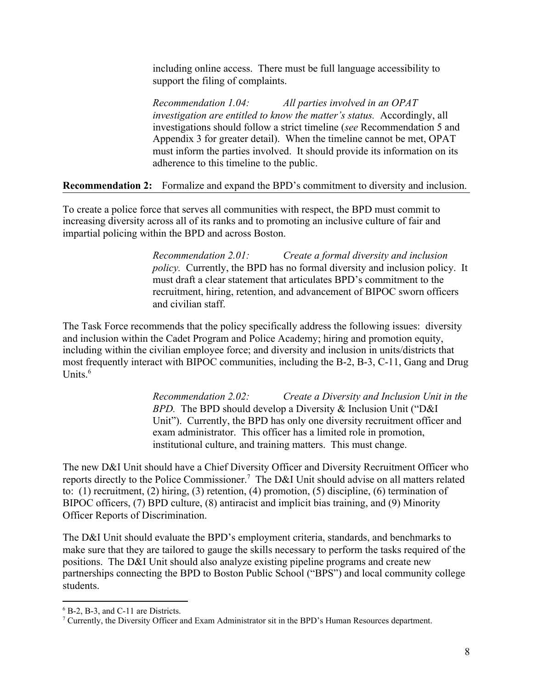including online access. There must be full language accessibility to support the filing of complaints.

*Recommendation 1.04: All parties involved in an OPAT investigation are entitled to know the matter's status.* Accordingly, all investigations should follow a strict timeline (*see* Recommendation 5 and Appendix 3 for greater detail). When the timeline cannot be met, OPAT must inform the parties involved. It should provide its information on its adherence to this timeline to the public.

**Recommendation 2:** Formalize and expand the BPD's commitment to diversity and inclusion.

To create a police force that serves all communities with respect, the BPD must commit to increasing diversity across all of its ranks and to promoting an inclusive culture of fair and impartial policing within the BPD and across Boston.

> *Recommendation 2.01: Create a formal diversity and inclusion policy.* Currently, the BPD has no formal diversity and inclusion policy. It must draft a clear statement that articulates BPD's commitment to the recruitment, hiring, retention, and advancement of BIPOC sworn officers and civilian staff.

The Task Force recommends that the policy specifically address the following issues: diversity and inclusion within the Cadet Program and Police Academy; hiring and promotion equity, including within the civilian employee force; and diversity and inclusion in units/districts that most frequently interact with BIPOC communities, including the B-2, B-3, C-11, Gang and Drug Units. $6$ 

> *Recommendation 2.02: Create a Diversity and Inclusion Unit in the BPD.* The BPD should develop a Diversity & Inclusion Unit ("D&I Unit"). Currently, the BPD has only one diversity recruitment officer and exam administrator. This officer has a limited role in promotion, institutional culture, and training matters. This must change.

The new D&I Unit should have a Chief Diversity Officer and Diversity Recruitment Officer who reports directly to the Police Commissioner.<sup>7</sup> The D&I Unit should advise on all matters related to: (1) recruitment, (2) hiring, (3) retention, (4) promotion, (5) discipline, (6) termination of BIPOC officers, (7) BPD culture, (8) antiracist and implicit bias training, and (9) Minority Officer Reports of Discrimination.

The D&I Unit should evaluate the BPD's employment criteria, standards, and benchmarks to make sure that they are tailored to gauge the skills necessary to perform the tasks required of the positions. The D&I Unit should also analyze existing pipeline programs and create new partnerships connecting the BPD to Boston Public School ("BPS") and local community college students.

<sup>6</sup> B-2, B-3, and C-11 are Districts.

<sup>7</sup> Currently, the Diversity Officer and Exam Administrator sit in the BPD's Human Resources department.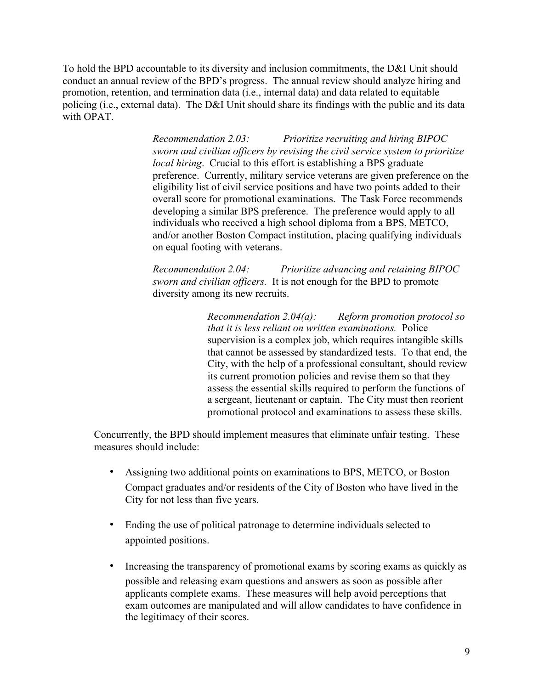To hold the BPD accountable to its diversity and inclusion commitments, the D&I Unit should conduct an annual review of the BPD's progress. The annual review should analyze hiring and promotion, retention, and termination data (i.e., internal data) and data related to equitable policing (i.e., external data). The D&I Unit should share its findings with the public and its data with OPAT.

> *Recommendation 2.03: Prioritize recruiting and hiring BIPOC sworn and civilian officers by revising the civil service system to prioritize local hiring*. Crucial to this effort is establishing a BPS graduate preference. Currently, military service veterans are given preference on the eligibility list of civil service positions and have two points added to their overall score for promotional examinations. The Task Force recommends developing a similar BPS preference. The preference would apply to all individuals who received a high school diploma from a BPS, METCO, and/or another Boston Compact institution, placing qualifying individuals on equal footing with veterans.

*Recommendation 2.04: Prioritize advancing and retaining BIPOC sworn and civilian officers.* It is not enough for the BPD to promote diversity among its new recruits.

> *Recommendation 2.04(a): Reform promotion protocol so that it is less reliant on written examinations.* Police supervision is a complex job, which requires intangible skills that cannot be assessed by standardized tests. To that end, the City, with the help of a professional consultant, should review its current promotion policies and revise them so that they assess the essential skills required to perform the functions of a sergeant, lieutenant or captain. The City must then reorient promotional protocol and examinations to assess these skills.

Concurrently, the BPD should implement measures that eliminate unfair testing. These measures should include:

- Assigning two additional points on examinations to BPS, METCO, or Boston Compact graduates and/or residents of the City of Boston who have lived in the City for not less than five years.
- Ending the use of political patronage to determine individuals selected to appointed positions.
- Increasing the transparency of promotional exams by scoring exams as quickly as possible and releasing exam questions and answers as soon as possible after applicants complete exams. These measures will help avoid perceptions that exam outcomes are manipulated and will allow candidates to have confidence in the legitimacy of their scores.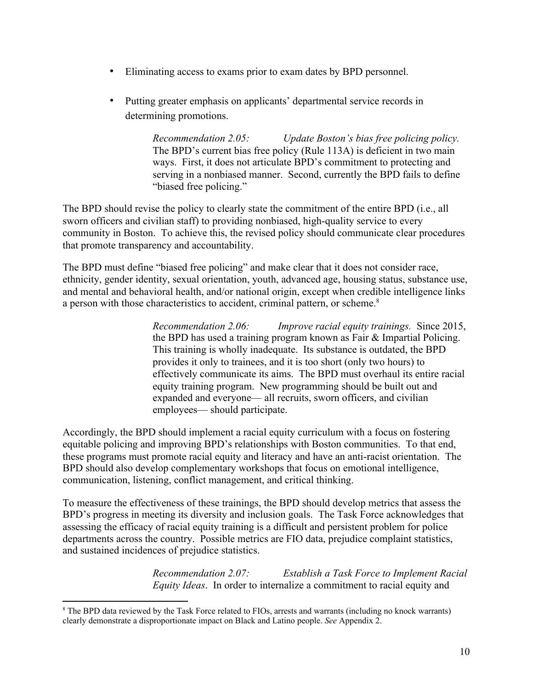- Eliminating access to exams prior to exam dates by BPD personnel.
- Putting greater emphasis on applicants' departmental service records in determining promotions.

*Recommendation 2.05: Update Boston's bias free policing policy.* The BPD's current bias free policy (Rule 113A) is deficient in two main ways. First, it does not articulate BPD's commitment to protecting and serving in a nonbiased manner. Second, currently the BPD fails to define "biased free policing."

The BPD should revise the policy to clearly state the commitment of the entire BPD (i.e., all sworn officers and civilian staff) to providing nonbiased, high-quality service to every community in Boston. To achieve this, the revised policy should communicate clear procedures that promote transparency and accountability.

The BPD must define "biased free policing" and make clear that it does not consider race, ethnicity, gender identity, sexual orientation, youth, advanced age, housing status, substance use, and mental and behavioral health, and/or national origin, except when credible intelligence links a person with those characteristics to accident, criminal pattern, or scheme.<sup>8</sup>

> *Recommendation 2.06: Improve racial equity trainings.* Since 2015, the BPD has used a training program known as Fair & Impartial Policing. This training is wholly inadequate. Its substance is outdated, the BPD provides it only to trainees, and it is too short (only two hours) to effectively communicate its aims. The BPD must overhaul its entire racial equity training program. New programming should be built out and expanded and everyone— all recruits, sworn officers, and civilian employees— should participate.

Accordingly, the BPD should implement a racial equity curriculum with a focus on fostering equitable policing and improving BPD's relationships with Boston communities. To that end, these programs must promote racial equity and literacy and have an anti-racist orientation. The BPD should also develop complementary workshops that focus on emotional intelligence, communication, listening, conflict management, and critical thinking.

To measure the effectiveness of these trainings, the BPD should develop metrics that assess the BPD's progress in meeting its diversity and inclusion goals. The Task Force acknowledges that assessing the efficacy of racial equity training is a difficult and persistent problem for police departments across the country. Possible metrics are FIO data, prejudice complaint statistics, and sustained incidences of prejudice statistics.

> *Recommendation 2.07: Establish a Task Force to Implement Racial Equity Ideas*. In order to internalize a commitment to racial equity and

<sup>8</sup> The BPD data reviewed by the Task Force related to FIOs, arrests and warrants (including no knock warrants) clearly demonstrate a disproportionate impact on Black and Latino people. *See* Appendix 2.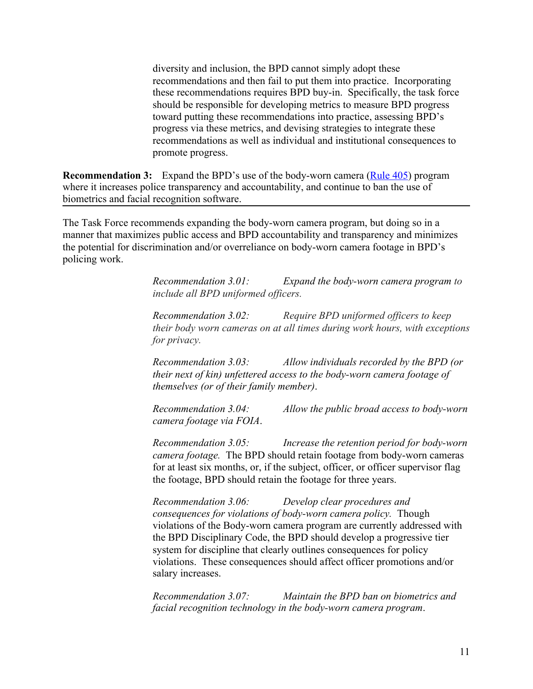diversity and inclusion, the BPD cannot simply adopt these recommendations and then fail to put them into practice. Incorporating these recommendations requires BPD buy-in. Specifically, the task force should be responsible for developing metrics to measure BPD progress toward putting these recommendations into practice, assessing BPD's progress via these metrics, and devising strategies to integrate these recommendations as well as individual and institutional consequences to promote progress.

**Recommendation 3:** Expand the BPD's use of the body-worn camera [\(Rule 405\)](https://static1.squarespace.com/static/5086f19ce4b0ad16ff15598d/t/5db05d41e4661c456ab6b870/1571839297911/SO19-015.pdf) program where it increases police transparency and accountability, and continue to ban the use of biometrics and facial recognition software.

The Task Force recommends expanding the body-worn camera program, but doing so in a manner that maximizes public access and BPD accountability and transparency and minimizes the potential for discrimination and/or overreliance on body-worn camera footage in BPD's policing work.

> *Recommendation 3.01: Expand the body-worn camera program to include all BPD uniformed officers.*

*Recommendation 3.02: Require BPD uniformed officers to keep their body worn cameras on at all times during work hours, with exceptions for privacy.*

*Recommendation 3.03: Allow individuals recorded by the BPD (or their next of kin) unfettered access to the body-worn camera footage of themselves (or of their family member)*.

*Recommendation 3.04: Allow the public broad access to body-worn camera footage via FOIA*.

*Recommendation 3.05: Increase the retention period for body-worn camera footage.* The BPD should retain footage from body-worn cameras for at least six months, or, if the subject, officer, or officer supervisor flag the footage, BPD should retain the footage for three years.

*Recommendation 3.06: Develop clear procedures and consequences for violations of body-worn camera policy.* Though violations of the Body-worn camera program are currently addressed with the BPD Disciplinary Code, the BPD should develop a progressive tier system for discipline that clearly outlines consequences for policy violations. These consequences should affect officer promotions and/or salary increases.

*Recommendation 3.07: Maintain the BPD ban on biometrics and facial recognition technology in the body-worn camera program*.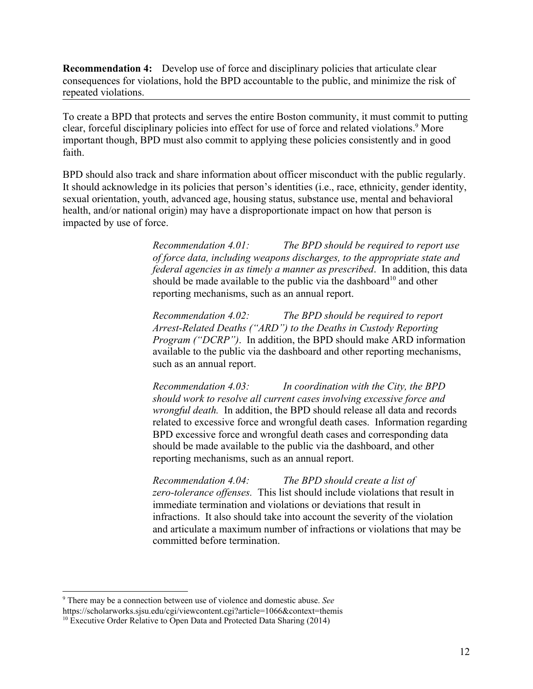**Recommendation 4:** Develop use of force and disciplinary policies that articulate clear consequences for violations, hold the BPD accountable to the public, and minimize the risk of repeated violations.

To create a BPD that protects and serves the entire Boston community, it must commit to putting clear, forceful disciplinary policies into effect for use of force and related violations.<sup>9</sup> More important though, BPD must also commit to applying these policies consistently and in good faith.

BPD should also track and share information about officer misconduct with the public regularly. It should acknowledge in its policies that person's identities (i.e., race, ethnicity, gender identity, sexual orientation, youth, advanced age, housing status, substance use, mental and behavioral health, and/or national origin) may have a disproportionate impact on how that person is impacted by use of force.

> *Recommendation 4.01: The BPD should be required to report use of force data, including weapons discharges, to the appropriate state and federal agencies in as timely a manner as prescribed*. In addition, this data should be made available to the public via the dashboard<sup>10</sup> and other reporting mechanisms, such as an annual report.

> *Recommendation 4.02: The BPD should be required to report Arrest-Related Deaths ("ARD") to the Deaths in Custody Reporting Program ("DCRP")*. In addition, the BPD should make ARD information available to the public via the dashboard and other reporting mechanisms, such as an annual report.

> *Recommendation 4.03: In coordination with the City, the BPD should work to resolve all current cases involving excessive force and wrongful death.* In addition, the BPD should release all data and records related to excessive force and wrongful death cases. Information regarding BPD excessive force and wrongful death cases and corresponding data should be made available to the public via the dashboard, and other reporting mechanisms, such as an annual report.

*Recommendation 4.04: The BPD should create a list of zero-tolerance offenses.* This list should include violations that result in immediate termination and violations or deviations that result in infractions. It also should take into account the severity of the violation and articulate a maximum number of infractions or violations that may be committed before termination.

<sup>9</sup> There may be a connection between use of violence and domestic abuse. *See* https://scholarworks.sjsu.edu/cgi/viewcontent.cgi?article=1066&context=themis

 $10$  Executive Order Relative to Open Data and Protected Data Sharing (2014)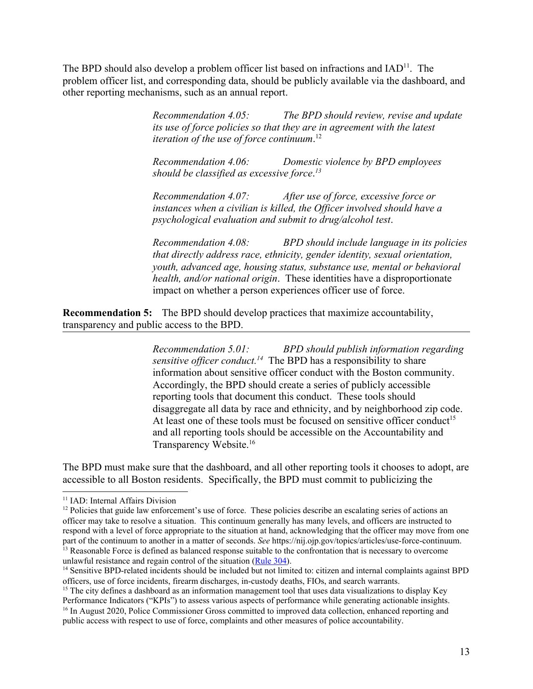The BPD should also develop a problem officer list based on infractions and  $IAD<sup>11</sup>$ . The problem officer list, and corresponding data, should be publicly available via the dashboard, and other reporting mechanisms, such as an annual report.

> *Recommendation 4.05: The BPD should review, revise and update its use of force policies so that they are in agreement with the latest iteration of the use of force continuum*. 12

*Recommendation 4.06: Domestic violence by BPD employees should be classified as excessive force*. *13*

*Recommendation 4.07: After use of force, excessive force or instances when a civilian is killed, the Officer involved should have a psychological evaluation and submit to drug/alcohol test*.

*Recommendation 4.08: BPD should include language in its policies that directly address race, ethnicity, gender identity, sexual orientation, youth, advanced age, housing status, substance use, mental or behavioral health, and/or national origin*. These identities have a disproportionate impact on whether a person experiences officer use of force.

**Recommendation 5:** The BPD should develop practices that maximize accountability, transparency and public access to the BPD.

> *Recommendation 5.01: BPD should publish information regarding sensitive officer conduct.*<sup>14</sup> The BPD has a responsibility to share information about sensitive officer conduct with the Boston community. Accordingly, the BPD should create a series of publicly accessible reporting tools that document this conduct. These tools should disaggregate all data by race and ethnicity, and by neighborhood zip code. At least one of these tools must be focused on sensitive officer conduct<sup>15</sup> and all reporting tools should be accessible on the Accountability and Transparency Website.<sup>16</sup>

The BPD must make sure that the dashboard, and all other reporting tools it chooses to adopt, are accessible to all Boston residents. Specifically, the BPD must commit to publicizing the

<sup>15</sup> The city defines a dashboard as an information management tool that uses data visualizations to display Key Performance Indicators ("KPIs") to assess various aspects of performance while generating actionable insights. <sup>16</sup> In August 2020, Police Commissioner Gross committed to improved data collection, enhanced reporting and public access with respect to use of force, complaints and other measures of police accountability.

<sup>&</sup>lt;sup>11</sup> IAD: Internal Affairs Division

 $12$  Policies that guide law enforcement's use of force. These policies describe an escalating series of actions an officer may take to resolve a situation. This continuum generally has many levels, and officers are instructed to respond with a level of force appropriate to the situation at hand, acknowledging that the officer may move from one part of the continuum to another in a matter of seconds. *See* https://nij.ojp.gov/topics/articles/use-force-continuum. <sup>13</sup> Reasonable Force is defined as balanced response suitable to the confrontation that is necessary to overcome unlawful resistance and regain control of the situation ([Rule](https://static1.squarespace.com/static/5086f19ce4b0ad16ff15598d/t/5ee3b80bbff1a702446f6393/1591982092629/SO20-30.pdfhttps:/static1.squarespace.com/static/5086f19ce4b0ad16ff15598d/t/5ee3b80bbff1a702446f6393/1591982092629/SO20-30.pdf) 304).

<sup>&</sup>lt;sup>14</sup> Sensitive BPD-related incidents should be included but not limited to: citizen and internal complaints against BPD officers, use of force incidents, firearm discharges, in-custody deaths, FIOs, and search warrants.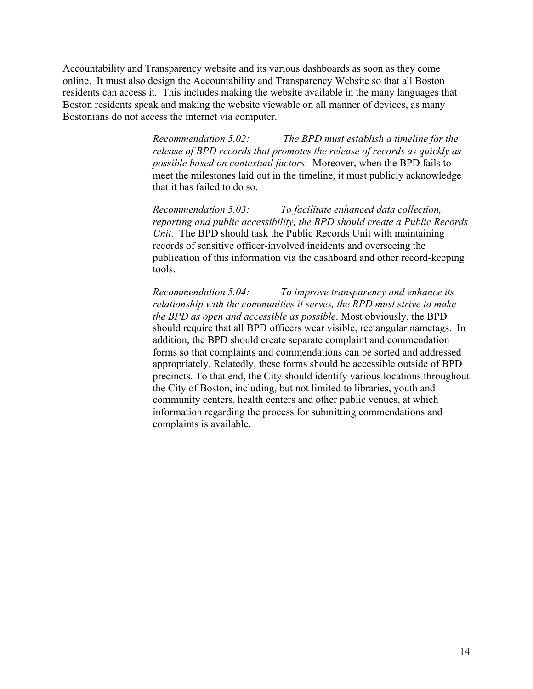Accountability and Transparency website and its various dashboards as soon as they come online. It must also design the Accountability and Transparency Website so that all Boston residents can access it. This includes making the website available in the many languages that Boston residents speak and making the website viewable on all manner of devices, as many Bostonians do not access the internet via computer.

> *Recommendation 5.02: The BPD must establish a timeline for the release of BPD records that promotes the release of records as quickly as possible based on contextual factors*. Moreover, when the BPD fails to meet the milestones laid out in the timeline, it must publicly acknowledge that it has failed to do so.

*Recommendation 5.03: To facilitate enhanced data collection, reporting and public accessibility, the BPD should create a Public Records Unit*. The BPD should task the Public Records Unit with maintaining records of sensitive officer-involved incidents and overseeing the publication of this information via the dashboard and other record-keeping tools.

*Recommendation 5.04: To improve transparency and enhance its relationship with the communities it serves, the BPD must strive to make the BPD as open and accessible as possible*. Most obviously, the BPD should require that all BPD officers wear visible, rectangular nametags. In addition, the BPD should create separate complaint and commendation forms so that complaints and commendations can be sorted and addressed appropriately. Relatedly, these forms should be accessible outside of BPD precincts. To that end, the City should identify various locations throughout the City of Boston, including, but not limited to libraries, youth and community centers, health centers and other public venues, at which information regarding the process for submitting commendations and complaints is available.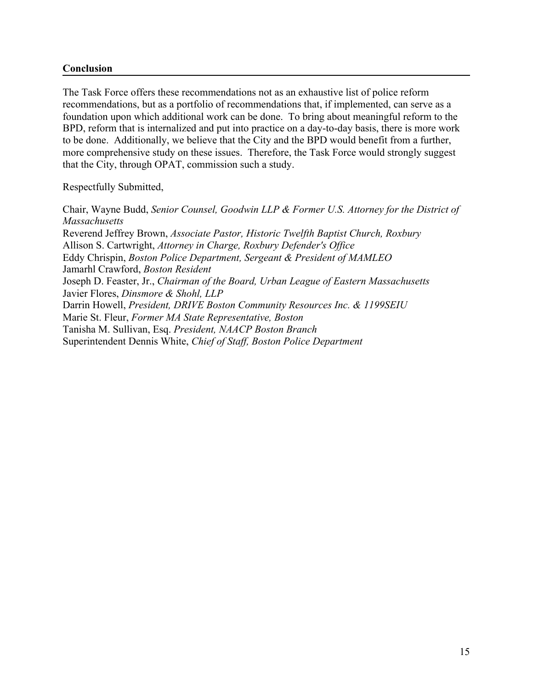#### **Conclusion**

The Task Force offers these recommendations not as an exhaustive list of police reform recommendations, but as a portfolio of recommendations that, if implemented, can serve as a foundation upon which additional work can be done. To bring about meaningful reform to the BPD, reform that is internalized and put into practice on a day-to-day basis, there is more work to be done. Additionally, we believe that the City and the BPD would benefit from a further, more comprehensive study on these issues. Therefore, the Task Force would strongly suggest that the City, through OPAT, commission such a study.

Respectfully Submitted,

Chair, Wayne Budd, *Senior Counsel, Goodwin LLP & Former U.S. Attorney for the District of Massachusetts* Reverend Jeffrey Brown, *Associate Pastor, Historic Twelfth Baptist Church, Roxbury* Allison S. Cartwright, *Attorney in Charge, Roxbury Defender's Office* Eddy Chrispin, *Boston Police Department, Sergeant & President of MAMLEO* Jamarhl Crawford, *Boston Resident* Joseph D. Feaster, Jr., *Chairman of the Board, Urban League of Eastern Massachusetts* Javier Flores, *Dinsmore & Shohl, LLP* Darrin Howell, *President, DRIVE Boston Community Resources Inc. & 1199SEIU* Marie St. Fleur, *Former MA State Representative, Boston* Tanisha M. Sullivan, Esq. *President, NAACP Boston Branch* Superintendent Dennis White, *Chief of Staff, Boston Police Department*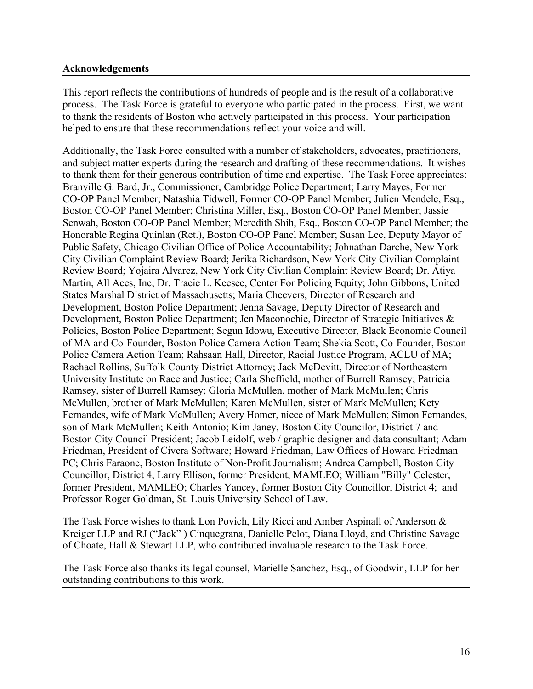#### **Acknowledgements**

This report reflects the contributions of hundreds of people and is the result of a collaborative process. The Task Force is grateful to everyone who participated in the process. First, we want to thank the residents of Boston who actively participated in this process. Your participation helped to ensure that these recommendations reflect your voice and will.

Additionally, the Task Force consulted with a number of stakeholders, advocates, practitioners, and subject matter experts during the research and drafting of these recommendations. It wishes to thank them for their generous contribution of time and expertise. The Task Force appreciates: Branville G. Bard, Jr., Commissioner, Cambridge Police Department; Larry Mayes, Former CO-OP Panel Member; Natashia Tidwell, Former CO-OP Panel Member; Julien Mendele, Esq., Boston CO-OP Panel Member; Christina Miller, Esq., Boston CO-OP Panel Member; Jassie Senwah, Boston CO-OP Panel Member; Meredith Shih, Esq., Boston CO-OP Panel Member; the Honorable Regina Quinlan (Ret.), Boston CO-OP Panel Member; Susan Lee, Deputy Mayor of Public Safety, Chicago Civilian Office of Police Accountability; Johnathan Darche, New York City Civilian Complaint Review Board; Jerika Richardson, New York City Civilian Complaint Review Board; Yojaira Alvarez, New York City Civilian Complaint Review Board; Dr. Atiya Martin, All Aces, Inc; Dr. Tracie L. Keesee, Center For Policing Equity; John Gibbons, United States Marshal District of Massachusetts; Maria Cheevers, Director of Research and Development, Boston Police Department; Jenna Savage, Deputy Director of Research and Development, Boston Police Department; Jen Maconochie, Director of Strategic Initiatives & Policies, Boston Police Department; Segun Idowu, Executive Director, Black Economic Council of MA and Co-Founder, Boston Police Camera Action Team; Shekia Scott, Co-Founder, Boston Police Camera Action Team; Rahsaan Hall, Director, Racial Justice Program, ACLU of MA; Rachael Rollins, Suffolk County District Attorney; Jack McDevitt, Director of Northeastern University Institute on Race and Justice; Carla Sheffield, mother of Burrell Ramsey; Patricia Ramsey, sister of Burrell Ramsey; Gloria McMullen, mother of Mark McMullen; Chris McMullen, brother of Mark McMullen; Karen McMullen, sister of Mark McMullen; Kety Fernandes, wife of Mark McMullen; Avery Homer, niece of Mark McMullen; Simon Fernandes, son of Mark McMullen; Keith Antonio; Kim Janey, Boston City Councilor, District 7 and Boston City Council President; Jacob Leidolf, web / graphic designer and data consultant; Adam Friedman, President of Civera Software; Howard Friedman, Law Offices of Howard Friedman PC; Chris Faraone, Boston Institute of Non-Profit Journalism; Andrea Campbell, Boston City Councillor, District 4; Larry Ellison, former President, MAMLEO; William "Billy" Celester, former President, MAMLEO; Charles Yancey, former Boston City Councillor, District 4; and Professor Roger Goldman, St. Louis University School of Law.

The Task Force wishes to thank Lon Povich, Lily Ricci and Amber Aspinall of Anderson & Kreiger LLP and RJ ("Jack" ) Cinquegrana, Danielle Pelot, Diana Lloyd, and Christine Savage of Choate, Hall & Stewart LLP, who contributed invaluable research to the Task Force.

The Task Force also thanks its legal counsel, Marielle Sanchez, Esq., of Goodwin, LLP for her outstanding contributions to this work.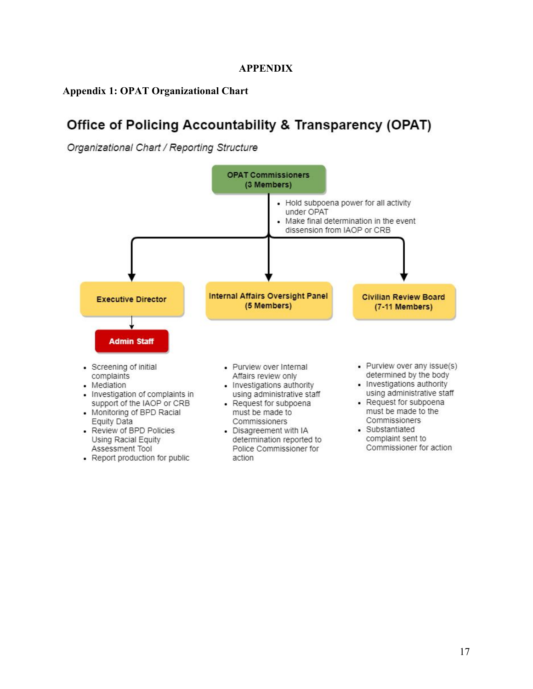#### **APPENDIX**

## **Appendix 1: OPAT Organizational Chart**

# Office of Policing Accountability & Transparency (OPAT)

Organizational Chart / Reporting Structure

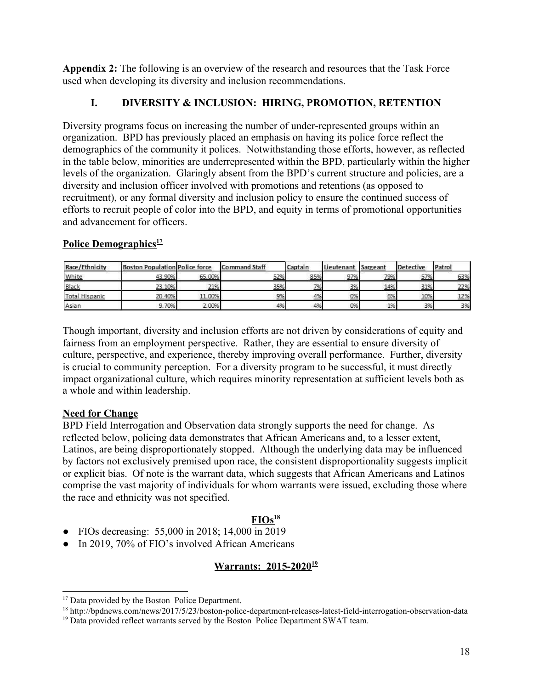**Appendix 2:** The following is an overview of the research and resources that the Task Force used when developing its diversity and inclusion recommendations.

## **I. DIVERSITY & INCLUSION: HIRING, PROMOTION, RETENTION**

Diversity programs focus on increasing the number of under-represented groups within an organization. BPD has previously placed an emphasis on having its police force reflect the demographics of the community it polices. Notwithstanding those efforts, however, as reflected in the table below, minorities are underrepresented within the BPD, particularly within the higher levels of the organization. Glaringly absent from the BPD's current structure and policies, are a diversity and inclusion officer involved with promotions and retentions (as opposed to recruitment), or any formal diversity and inclusion policy to ensure the continued success of efforts to recruit people of color into the BPD, and equity in terms of promotional opportunities and advancement for officers.

## **Police Demographics<sup>17</sup>**

| Race/Ethnicity        | <b>Boston Population Police force</b> |        | <b>Command Staff</b> | Captain | Lieutenant | Sargeant | <b>Detective</b> | Patrol |
|-----------------------|---------------------------------------|--------|----------------------|---------|------------|----------|------------------|--------|
| White                 | 43.90%                                | 65.00% | 52%                  | 85%     | 97%        | 79%      | 57%              | 63%    |
| Black                 | 23.10%                                | 21%    | 35%                  | 7%      | 3%         | 14%      | 31%              | 22%    |
| <b>Total Hispanic</b> | 20.40%                                | 11.00% | 9%                   | 4%      | 0%         | 6%       | 10%              | 12%    |
| Asian                 | 9.70%                                 | 2.00%  | 4%                   | 4%      | 0%         | 1%       | 3%               | 3%     |

Though important, diversity and inclusion efforts are not driven by considerations of equity and fairness from an employment perspective. Rather, they are essential to ensure diversity of culture, perspective, and experience, thereby improving overall performance. Further, diversity is crucial to community perception. For a diversity program to be successful, it must directly impact organizational culture, which requires minority representation at sufficient levels both as a whole and within leadership.

## **Need for Change**

BPD Field Interrogation and Observation data strongly supports the need for change. As reflected below, policing data demonstrates that African Americans and, to a lesser extent, Latinos, are being disproportionately stopped. Although the underlying data may be influenced by factors not exclusively premised upon race, the consistent disproportionality suggests implicit or explicit bias. Of note is the warrant data, which suggests that African Americans and Latinos comprise the vast majority of individuals for whom warrants were issued, excluding those where the race and ethnicity was not specified.

## **FIOs<sup>18</sup>**

- FIOs decreasing: 55,000 in 2018; 14,000 in 2019
- In 2019, 70% of FIO's involved African Americans

### **Warrants: 2015-2020<sup>19</sup>**

<sup>&</sup>lt;sup>17</sup> Data provided by the Boston Police Department.

<sup>18</sup> http://bpdnews.com/news/2017/5/23/boston-police-department-releases-latest-field-interrogation-observation-data

<sup>&</sup>lt;sup>19</sup> Data provided reflect warrants served by the Boston Police Department SWAT team.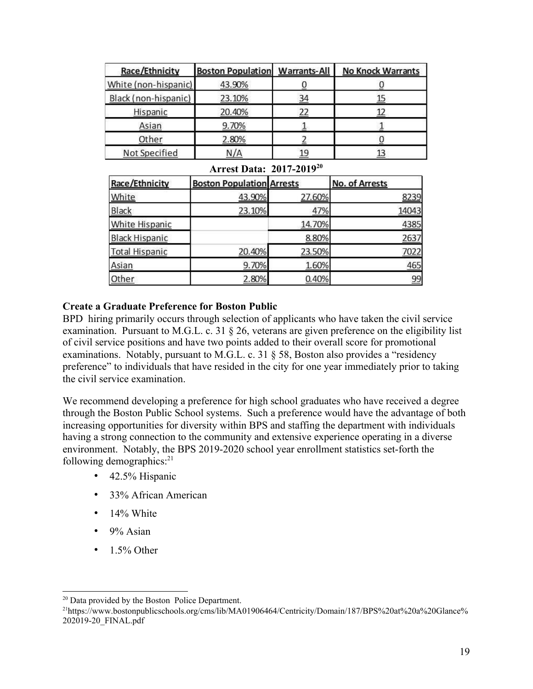| Race/Ethnicity       | <b>Boston Population</b> | <b>Warrants-All</b> | <b>No Knock Warrants</b> |
|----------------------|--------------------------|---------------------|--------------------------|
| White (non-hispanic) | 43.90%                   |                     |                          |
| Black (non-hispanic) | 23.10%                   | 34                  | <u>15</u>                |
| Hispanic             | 20.40%                   | 22                  | 12                       |
| Asian                | 9.70%                    |                     |                          |
| Other                | 2.80%                    |                     |                          |
| Not Specified        | N/A                      | 19                  | 13                       |

**Arrest Data: 2017-2019<sup>20</sup>**

| Race/Ethnicity        | <b>Boston Population Arrests</b> |        | <b>No. of Arrests</b> |
|-----------------------|----------------------------------|--------|-----------------------|
| White                 | 43.90%                           | 27.60% | 8239                  |
| <b>Black</b>          | 23.10%                           | 47%    | 14043                 |
| White Hispanic        |                                  | 14.70% | 4385                  |
| <b>Black Hispanic</b> |                                  | 8.80%  | 2637                  |
| <b>Total Hispanic</b> | 20.40%                           | 23.50% | 7022                  |
| Asian                 | 9.70%                            | 1.60%  | 465                   |
| Other                 | 2.80%                            | 0.40%  | 99                    |

## **Create a Graduate Preference for Boston Public**

BPD hiring primarily occurs through selection of applicants who have taken the civil service examination. Pursuant to M.G.L. c. 31 § 26, veterans are given preference on the eligibility list of civil service positions and have two points added to their overall score for promotional examinations. Notably, pursuant to M.G.L. c. 31 § 58, Boston also provides a "residency preference" to individuals that have resided in the city for one year immediately prior to taking the civil service examination.

We recommend developing a preference for high school graduates who have received a degree through the Boston Public School systems. Such a preference would have the advantage of both increasing opportunities for diversity within BPS and staffing the department with individuals having a strong connection to the community and extensive experience operating in a diverse environment. Notably, the BPS 2019-2020 school year enrollment statistics set-forth the following demographics: $21$ 

- 42.5% Hispanic
- 33% African American
- 14% White
- $\cdot$  9% Asian
- $\cdot$  1.5% Other

<sup>&</sup>lt;sup>20</sup> Data provided by the Boston Police Department.

<sup>21</sup>https://www.bostonpublicschools.org/cms/lib/MA01906464/Centricity/Domain/187/BPS%20at%20a%20Glance% 202019-20\_FINAL.pdf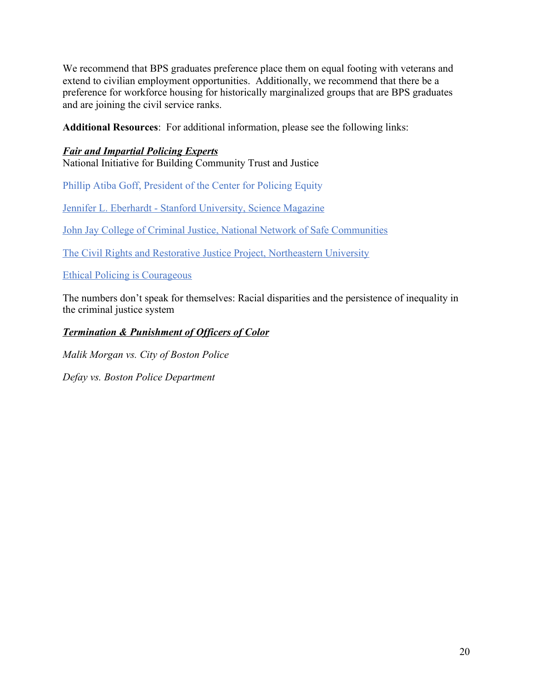We recommend that BPS graduates preference place them on equal footing with veterans and extend to civilian employment opportunities. Additionally, we recommend that there be a preference for workforce housing for historically marginalized groups that are BPS graduates and are joining the civil service ranks.

**Additional Resources**: For additional information, please see the following links:

## *Fair and Impartial Policing Experts*

National Initiative for Building Community Trust and Justice

Phillip Atiba Goff, President of the Center for Policing Equity

Jennifer L. Eberhardt - Stanford University, Science Magazine

John Jay College of Criminal Justice, National Network of Safe Communities

The Civil Rights and Restorative Justice Project, Northeastern University

Ethical Policing is Courageous

The numbers don't speak for themselves: Racial disparities and the persistence of inequality in the criminal justice system

## *Termination & Punishment of Officers of Color*

*Malik Morgan vs. City of Boston Police*

*Defay vs. Boston Police Department*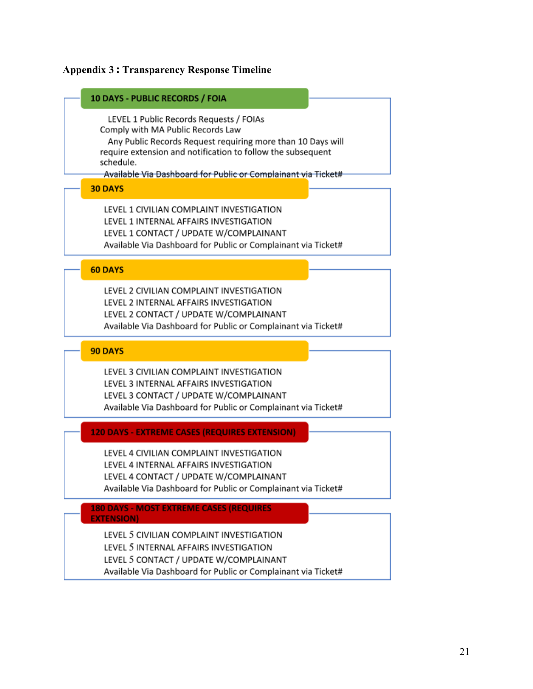# **Appendix 3 : Transparency Response Timeline**

| <b>10 DAYS - PUBLIC RECORDS / FOIA</b>                                                                                                                                                                                                                                                   |
|------------------------------------------------------------------------------------------------------------------------------------------------------------------------------------------------------------------------------------------------------------------------------------------|
| LEVEL 1 Public Records Requests / FOIAs<br>Comply with MA Public Records Law<br>Any Public Records Request requiring more than 10 Days will<br>require extension and notification to follow the subsequent<br>schedule.<br>Available Via Dashboard for Public or Complainant via Ticket# |
| <b>30 DAYS</b>                                                                                                                                                                                                                                                                           |
| LEVEL 1 CIVILIAN COMPLAINT INVESTIGATION<br>LEVEL 1 INTERNAL AFFAIRS INVESTIGATION<br>LEVEL 1 CONTACT / UPDATE W/COMPLAINANT<br>Available Via Dashboard for Public or Complainant via Ticket#                                                                                            |
| <b>60 DAYS</b>                                                                                                                                                                                                                                                                           |
| LEVEL 2 CIVILIAN COMPLAINT INVESTIGATION<br>LEVEL 2 INTERNAL AFFAIRS INVESTIGATION<br>LEVEL 2 CONTACT / UPDATE W/COMPLAINANT<br>Available Via Dashboard for Public or Complainant via Ticket#                                                                                            |
| <b>90 DAYS</b>                                                                                                                                                                                                                                                                           |
| LEVEL 3 CIVILIAN COMPLAINT INVESTIGATION<br>LEVEL 3 INTERNAL AFFAIRS INVESTIGATION<br>LEVEL 3 CONTACT / UPDATE W/COMPLAINANT<br>Available Via Dashboard for Public or Complainant via Ticket#                                                                                            |
| <b>120 DAYS - EXTREME CASES (REQUIRES EXTENSION)</b>                                                                                                                                                                                                                                     |
| LEVEL 4 CIVILIAN COMPLAINT INVESTIGATION<br>LEVEL 4 INTERNAL AFFAIRS INVESTIGATION<br>LEVEL 4 CONTACT / UPDATE W/COMPLAINANT<br>Available Via Dashboard for Public or Complainant via Ticket#                                                                                            |
| <b>180 DAYS - MOST EXTREME CASES (REQUIRES</b><br><b>EXTENSION)</b>                                                                                                                                                                                                                      |
| LEVEL 5 CIVILIAN COMPLAINT INVESTIGATION<br>LEVEL 5 INTERNAL AFFAIRS INVESTIGATION<br>LEVEL 5 CONTACT / UPDATE W/COMPLAINANT<br>Available Via Dashboard for Public or Complainant via Ticket#                                                                                            |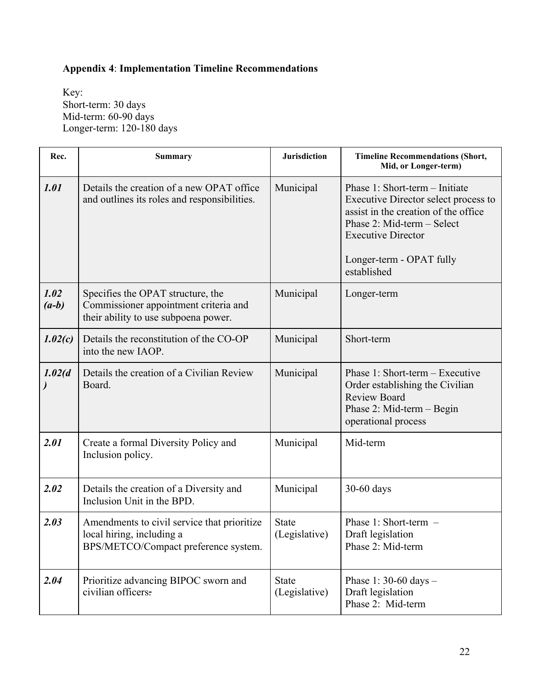## **Appendix 4**: **Implementation Timeline Recommendations**

Key: Short-term: 30 days Mid-term: 60-90 days Longer-term: 120-180 days

| Rec.            | <b>Summary</b>                                                                                                     | <b>Jurisdiction</b>           | <b>Timeline Recommendations (Short,</b><br>Mid, or Longer-term)                                                                                                                                                      |
|-----------------|--------------------------------------------------------------------------------------------------------------------|-------------------------------|----------------------------------------------------------------------------------------------------------------------------------------------------------------------------------------------------------------------|
| 1.01            | Details the creation of a new OPAT office<br>and outlines its roles and responsibilities.                          | Municipal                     | Phase 1: Short-term - Initiate<br>Executive Director select process to<br>assist in the creation of the office<br>Phase 2: Mid-term - Select<br><b>Executive Director</b><br>Longer-term - OPAT fully<br>established |
| 1.02<br>$(a-b)$ | Specifies the OPAT structure, the<br>Commissioner appointment criteria and<br>their ability to use subpoena power. | Municipal                     | Longer-term                                                                                                                                                                                                          |
| 1.02(c)         | Details the reconstitution of the CO-OP<br>into the new IAOP.                                                      | Municipal                     | Short-term                                                                                                                                                                                                           |
| 1.02(d)         | Details the creation of a Civilian Review<br>Board.                                                                | Municipal                     | Phase 1: Short-term – Executive<br>Order establishing the Civilian<br><b>Review Board</b><br>Phase 2: Mid-term - Begin<br>operational process                                                                        |
| 2.01            | Create a formal Diversity Policy and<br>Inclusion policy.                                                          | Municipal                     | Mid-term                                                                                                                                                                                                             |
| 2.02            | Details the creation of a Diversity and<br>Inclusion Unit in the BPD.                                              | Municipal                     | 30-60 days                                                                                                                                                                                                           |
| 2.03            | Amendments to civil service that prioritize<br>local hiring, including a<br>BPS/METCO/Compact preference system.   | <b>State</b><br>(Legislative) | Phase 1: Short-term $-$<br>Draft legislation<br>Phase 2: Mid-term                                                                                                                                                    |
| 2.04            | Prioritize advancing BIPOC sworn and<br>civilian officers.                                                         | <b>State</b><br>(Legislative) | Phase 1: 30-60 days $-$<br>Draft legislation<br>Phase 2: Mid-term                                                                                                                                                    |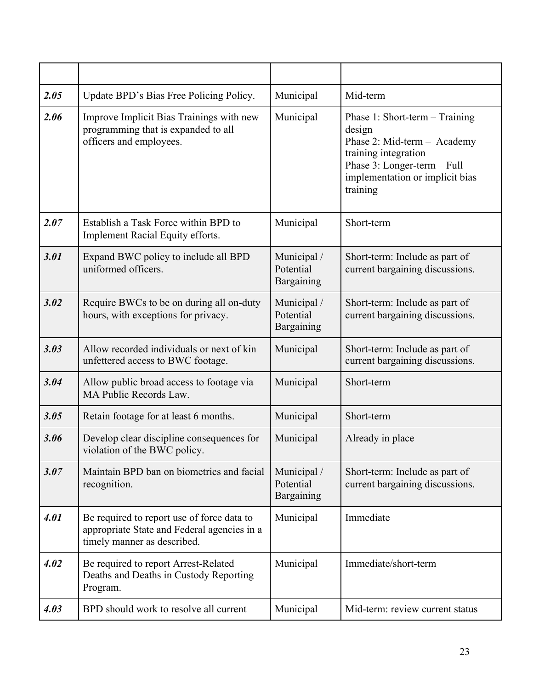| 2.05 | Update BPD's Bias Free Policing Policy.                                                                                  | Municipal                              | Mid-term                                                                                                                                                                      |
|------|--------------------------------------------------------------------------------------------------------------------------|----------------------------------------|-------------------------------------------------------------------------------------------------------------------------------------------------------------------------------|
| 2.06 | Improve Implicit Bias Trainings with new<br>programming that is expanded to all<br>officers and employees.               | Municipal                              | Phase 1: Short-term - Training<br>design<br>Phase 2: Mid-term - Academy<br>training integration<br>Phase 3: Longer-term - Full<br>implementation or implicit bias<br>training |
| 2.07 | Establish a Task Force within BPD to<br>Implement Racial Equity efforts.                                                 | Municipal                              | Short-term                                                                                                                                                                    |
| 3.01 | Expand BWC policy to include all BPD<br>uniformed officers.                                                              | Municipal /<br>Potential<br>Bargaining | Short-term: Include as part of<br>current bargaining discussions.                                                                                                             |
| 3.02 | Require BWCs to be on during all on-duty<br>hours, with exceptions for privacy.                                          | Municipal /<br>Potential<br>Bargaining | Short-term: Include as part of<br>current bargaining discussions.                                                                                                             |
| 3.03 | Allow recorded individuals or next of kin<br>unfettered access to BWC footage.                                           | Municipal                              | Short-term: Include as part of<br>current bargaining discussions.                                                                                                             |
| 3.04 | Allow public broad access to footage via<br>MA Public Records Law.                                                       | Municipal                              | Short-term                                                                                                                                                                    |
| 3.05 | Retain footage for at least 6 months.                                                                                    | Municipal                              | Short-term                                                                                                                                                                    |
| 3.06 | Develop clear discipline consequences for<br>violation of the BWC policy.                                                | Municipal                              | Already in place                                                                                                                                                              |
| 3.07 | Maintain BPD ban on biometrics and facial<br>recognition.                                                                | Municipal /<br>Potential<br>Bargaining | Short-term: Include as part of<br>current bargaining discussions.                                                                                                             |
| 4.01 | Be required to report use of force data to<br>appropriate State and Federal agencies in a<br>timely manner as described. | Municipal                              | Immediate                                                                                                                                                                     |
| 4.02 | Be required to report Arrest-Related<br>Deaths and Deaths in Custody Reporting<br>Program.                               | Municipal                              | Immediate/short-term                                                                                                                                                          |
| 4.03 | BPD should work to resolve all current                                                                                   | Municipal                              | Mid-term: review current status                                                                                                                                               |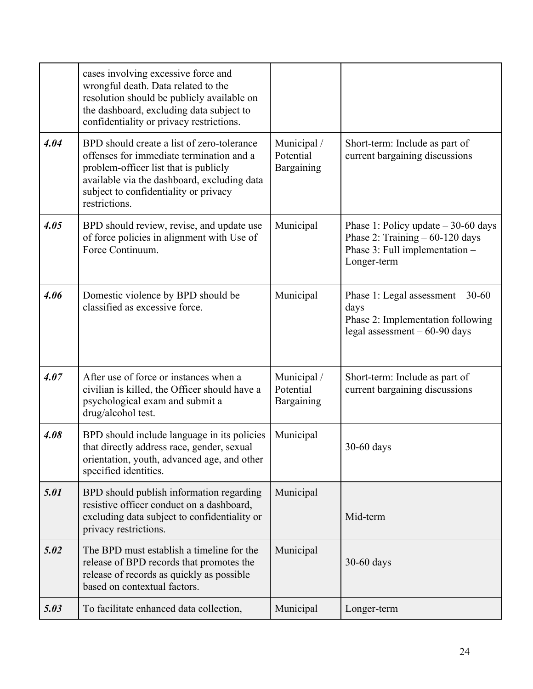|      | cases involving excessive force and<br>wrongful death. Data related to the<br>resolution should be publicly available on<br>the dashboard, excluding data subject to<br>confidentiality or privacy restrictions.                         |                                        |                                                                                                                           |
|------|------------------------------------------------------------------------------------------------------------------------------------------------------------------------------------------------------------------------------------------|----------------------------------------|---------------------------------------------------------------------------------------------------------------------------|
| 4.04 | BPD should create a list of zero-tolerance<br>offenses for immediate termination and a<br>problem-officer list that is publicly<br>available via the dashboard, excluding data<br>subject to confidentiality or privacy<br>restrictions. | Municipal /<br>Potential<br>Bargaining | Short-term: Include as part of<br>current bargaining discussions                                                          |
| 4.05 | BPD should review, revise, and update use<br>of force policies in alignment with Use of<br>Force Continuum.                                                                                                                              | Municipal                              | Phase 1: Policy update $-30-60$ days<br>Phase 2: Training $-60-120$ days<br>Phase 3: Full implementation -<br>Longer-term |
| 4.06 | Domestic violence by BPD should be<br>classified as excessive force.                                                                                                                                                                     | Municipal                              | Phase 1: Legal assessment $-30-60$<br>days<br>Phase 2: Implementation following<br>legal assessment $-60-90$ days         |
| 4.07 | After use of force or instances when a<br>civilian is killed, the Officer should have a<br>psychological exam and submit a<br>drug/alcohol test.                                                                                         | Municipal /<br>Potential<br>Bargaining | Short-term: Include as part of<br>current bargaining discussions                                                          |
| 4.08 | BPD should include language in its policies<br>that directly address race, gender, sexual<br>orientation, youth, advanced age, and other<br>specified identities.                                                                        | Municipal                              | 30-60 days                                                                                                                |
| 5.01 | BPD should publish information regarding<br>resistive officer conduct on a dashboard,<br>excluding data subject to confidentiality or<br>privacy restrictions.                                                                           | Municipal                              | Mid-term                                                                                                                  |
| 5.02 | The BPD must establish a timeline for the<br>release of BPD records that promotes the<br>release of records as quickly as possible<br>based on contextual factors.                                                                       | Municipal                              | 30-60 days                                                                                                                |
| 5.03 | To facilitate enhanced data collection,                                                                                                                                                                                                  | Municipal                              | Longer-term                                                                                                               |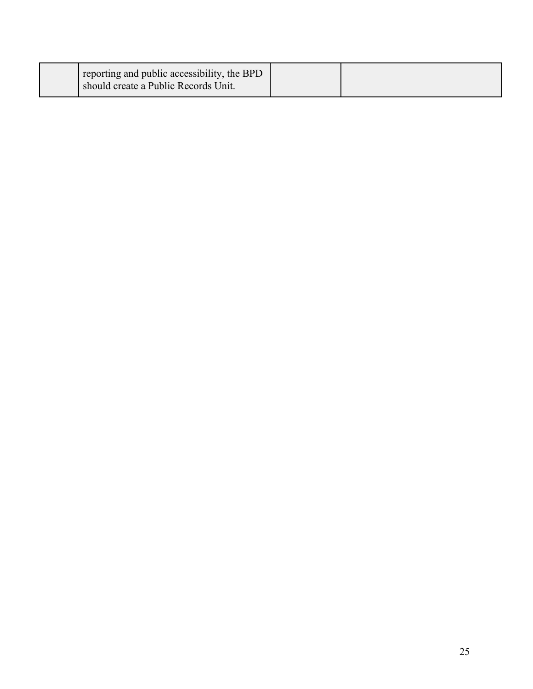| reporting and public accessibility, the BPD<br>should create a Public Records Unit. |  |
|-------------------------------------------------------------------------------------|--|
|                                                                                     |  |